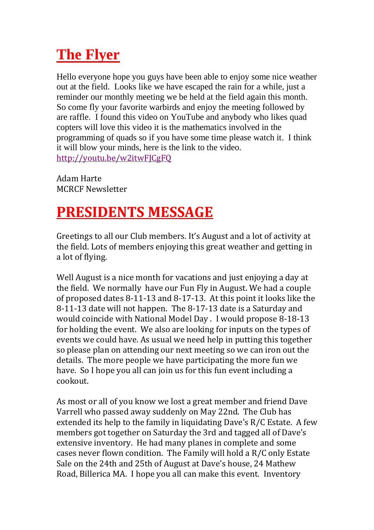## **The Flyer**

Hello everyone hope you guys have been able to enjoy some nice weather out at the field. Looks like we have escaped the rain for a while, just a reminder our monthly meeting we be held at the field again this month. So come fly your favorite warbirds and enjoy the meeting followed by are raffle. I found this video on YouTube and anybody who likes quad copters will love this video it is the mathematics involved in the programming of quads so if you have some time please watch it. I think it will blow your minds, here is the link to the video. <http://youtu.be/w2itwFJCgFQ>

Adam Harte MCRCF Newsletter

## **PRESIDENTS MESSAGE**

Greetings to all our Club members. It's August and a lot of activity at the field. Lots of members enjoying this great weather and getting in a lot of flying.

Well August is a nice month for vacations and just enjoying a day at the field. We normally have our Fun Fly in August. We had a couple of proposed dates 8-11-13 and 8-17-13. At this point it looks like the 8-11-13 date will not happen. The 8-17-13 date is a Saturday and would coincide with National Model Day . I would propose 8-18-13 for holding the event. We also are looking for inputs on the types of events we could have. As usual we need help in putting this together so please plan on attending our next meeting so we can iron out the details. The more people we have participating the more fun we have. So I hope you all can join us for this fun event including a cookout.

As most or all of you know we lost a great member and friend Dave Varrell who passed away suddenly on May 22nd. The Club has extended its help to the family in liquidating Dave's R/C Estate. A few members got together on Saturday the 3rd and tagged all of Dave's extensive inventory. He had many planes in complete and some cases never flown condition. The Family will hold a R/C only Estate Sale on the 24th and 25th of August at Dave's house, 24 Mathew Road, Billerica MA. I hope you all can make this event. Inventory